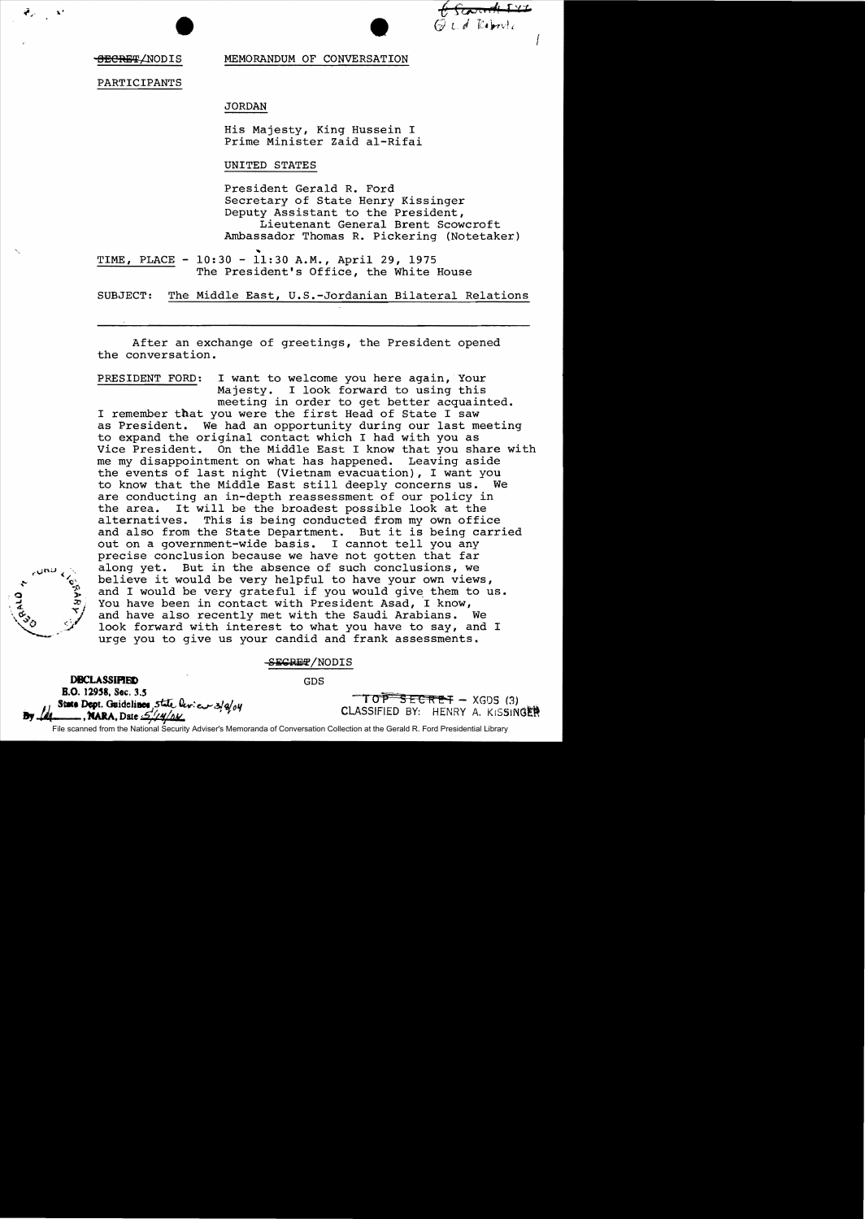Escoverent f

<del>SECRET</del>/NODIS

l.'

MEMORANDUM OF CONVERSATION

PARTICIPANTS

JORDAN

His Majesty, King Hussein I Prime Minister Zaid al-Rifai

UNITED STATES

President Gerald R. Ford Secretary of State Henry Kissinger Deputy Assistant to the President, Lieutenant General Brent Scowcroft Ambassador Thomas R. Pickering (Notetaker)

TIME, PLACE - 10:30 - 11:30 A.M., April 29, 1975 The President's Office, the White House

SUBJECT: The Middle East, U.S.-Jordanian Bilateral Relations

After an exchange of greetings, the President opened the conversation.

PRESIDENT FORD: I want to welcome you here again, Your Majesty. I look forward to using this meeting in order to get better acquainted. I remember that you were the first Head of State I saw as President. We had an opportunity during our last meeting to expand the original contact which I had with you as Vice President. On the Middle East I know that you share with me my disappointment on what has happened. Leaving aside the events of last night (Vietnam evacuation), I want you to know that the Middle East still deeply concerns us. We are conducting an in-depth reassessment of our policy in the area. It will be the broadest possible look at the the area. It will be the broadest possible look at the alternatives. This is being conducted from my own offi-This is being conducted from my own office and also from the State Department. But it is being carried out on a government-wide basis. I cannot tell you any precise conclusion because we have not gotten that far along yet. But in the absence of such conclusions, we believe it would be very helpful to have your own views, and I would be very grateful if you would give them to us. You have been in contact with President Asad, I know, and have also recently met with the Saudi Arabians. We look forward with interest to what you have to say, and I urge you to give us your candid and frank assessments.

-SEGRET/NODIS

**DBCLASSIFIED** B.O. 12958, Sec. 3.5 State Dept. Guidelines, state leview 3/2/04 **MARA**, Date  $\mathcal{L}/\mathcal{U}/\Delta\mathcal{U}$ 

# GDS

 $TOP$   $SECTION$   $\rightarrow$  XGDS (3) CLASSIFIED BY: HENRY A. KISSINGEN

File scanned from the National Security Adviser's Memoranda of Conversation Collection at the Gerald R. Ford Presidential Library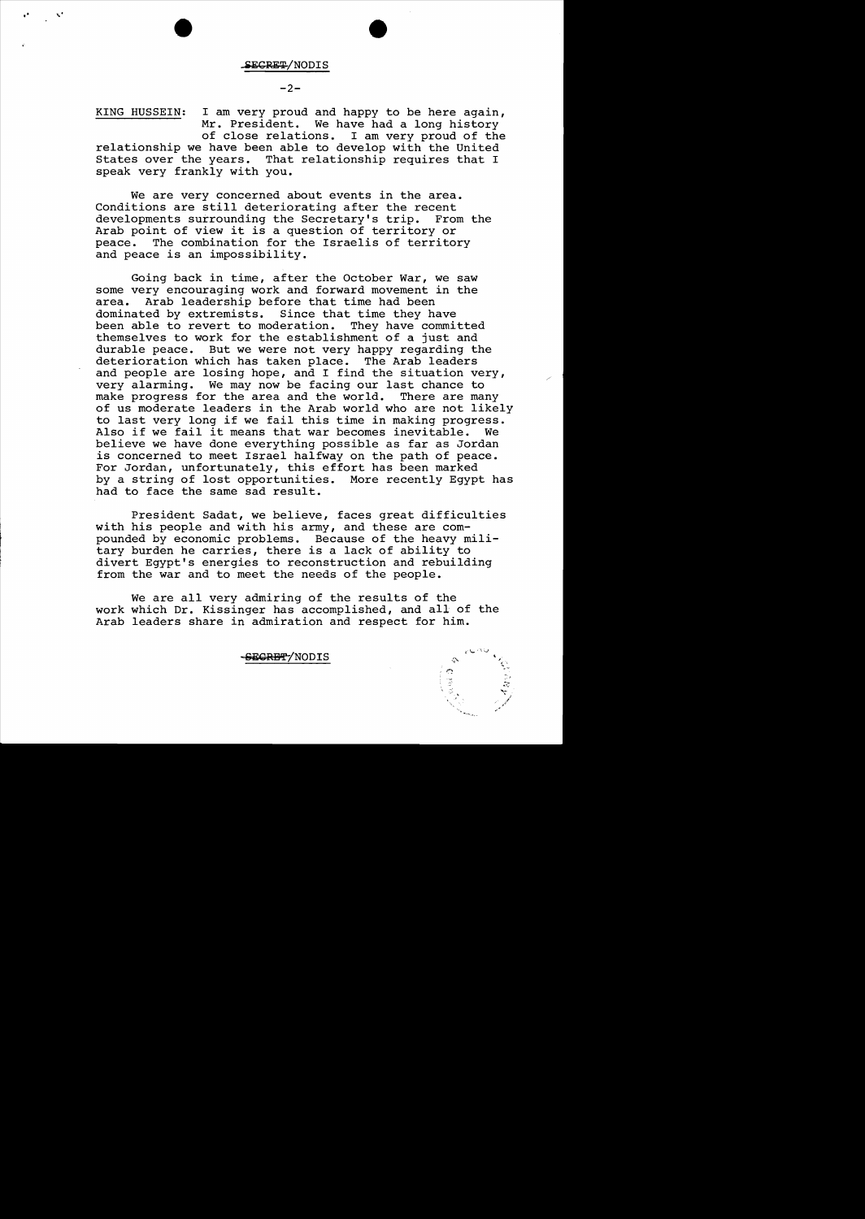**,. ,"I** 

#### $-2-$

KING HUSSEIN: I am very proud and happy to be here again, Mr. President. We have had a long history of close relations. I am very proud of the relationship we have been able to develop with the United States over the years. That relationship requires that I speak very frankly with you.

We are very concerned about events in the area. Conditions are still deteriorating after the recent developments surrounding the Secretary's trip. From the Arab point of view it is a question of territory or peace. The combination for the Israelis of territory and peace is an impossibility.

Going back in time, after the October War, we saw some very encouraging work and forward movement in the area. Arab leadership before that time had been<br>dominated by extremists. Since that time they ha Since that time they have been able to revert to moderation. They have committed themselves to work for the establishment of a just and durable peace. But we were not very happy regarding the deterioration which has taken place. The Arab leaders and people are losing hope, and I find the situation very, very alarming. We may now be facing our last chance to make progress for the area and the world. There are many of us moderate leaders in the Arab world who are not likely to last very long if we fail this time in making progress. Also if we fail it means that war becomes inevitable. We believe we have done everything possible as far as Jordan is concerned to meet Israel halfway on the path of peace. For Jordan, unfortunately, this effort has been marked by a string of lost opportunities. More recently Egypt has had to face the same sad result.

President Sadat, we believe, faces great difficulties with his people and with his army, and these are compounded by economic problems. Because of the heavy military burden he carries, there is a lack of ability to divert Egypt's energies to reconstruction and rebuilding from the war and to meet the needs of the people.

We are all very admiring of the results of the work which Dr. Kissinger has accomplished, and all of the Arab leaders share in admiration and respect for him.

~gRB'!'-/NODIS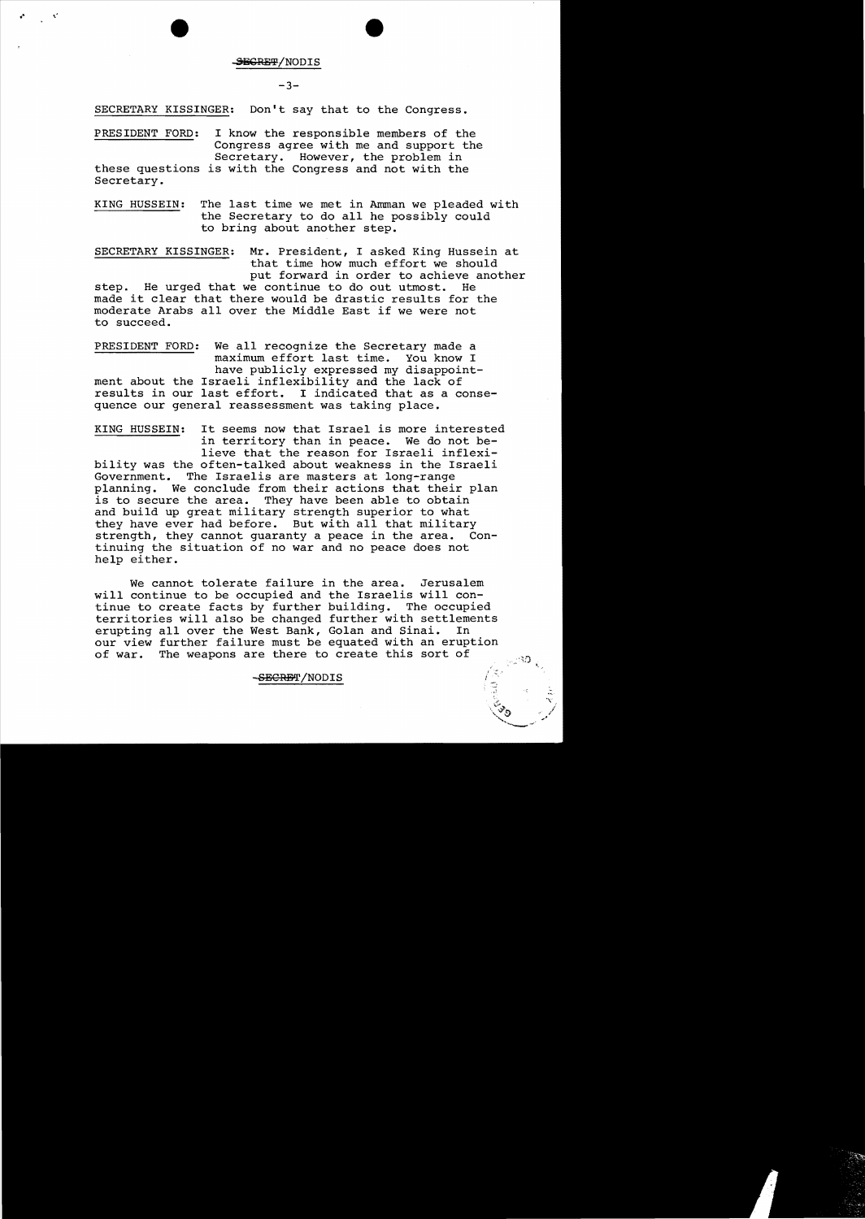#### SEGRET/NODIS

## $-3-$

SECRETARY KISSINGER: Don't say that to the Congress.

PRESIDENT FORD: I know the responsible members of the Congress agree with me and support the Secretary. However, the problem in these questions is with the Congress and not with the Secretary.

KING HUSSEIN: The last time we met in Amman we pleaded with the Secretary to do all he possibly could to bring about another step.

SECRETARY KISSINGER: Mr. President, I asked King Hussein at that time how much effort we should put forward in order to achieve another<br>e continue to do out utmost. He step. He urged that we continue to do out utmost. made it clear that there would be drastic results for the moderate Arabs allover the Middle East if we were not to succeed.

PRESIDENT FORD: We all recognize the Secretary made a maximum effort last time. You know I have publicly expressed my disappointment about the Israeli inflexibility and the lack of results in our last effort. I indicated that as a consequence our general reassessment was taking place.

KING HUSSEIN: It seems now that Israel is more interested in territory than in peace. We do not believe that the reason for Israeli inflexibility was the often-talked about weakness in the Israeli Government. The Israelis are masters at long-range planning. We conclude from their actions that their plan is to secure the area. They have been able to obtain and build up great military strength superior to what they have ever had before. But with all that military strength, they cannot guaranty a peace in the area. Continuing the situation of no war and no peace does not help either.

We cannot tolerate failure in the area. Jerusalem will continue to be occupied and the Israelis will continue to create facts by further building. The occupied territories will also be changed further with settlements<br>erupting all over the West Bank, Golan and Sinai, In erupting all over the West Bank, Golan and Sinai. our view further failure must be equated with an eruption of war. The weapons are there to create this sort of

### ..sECRET/NODIS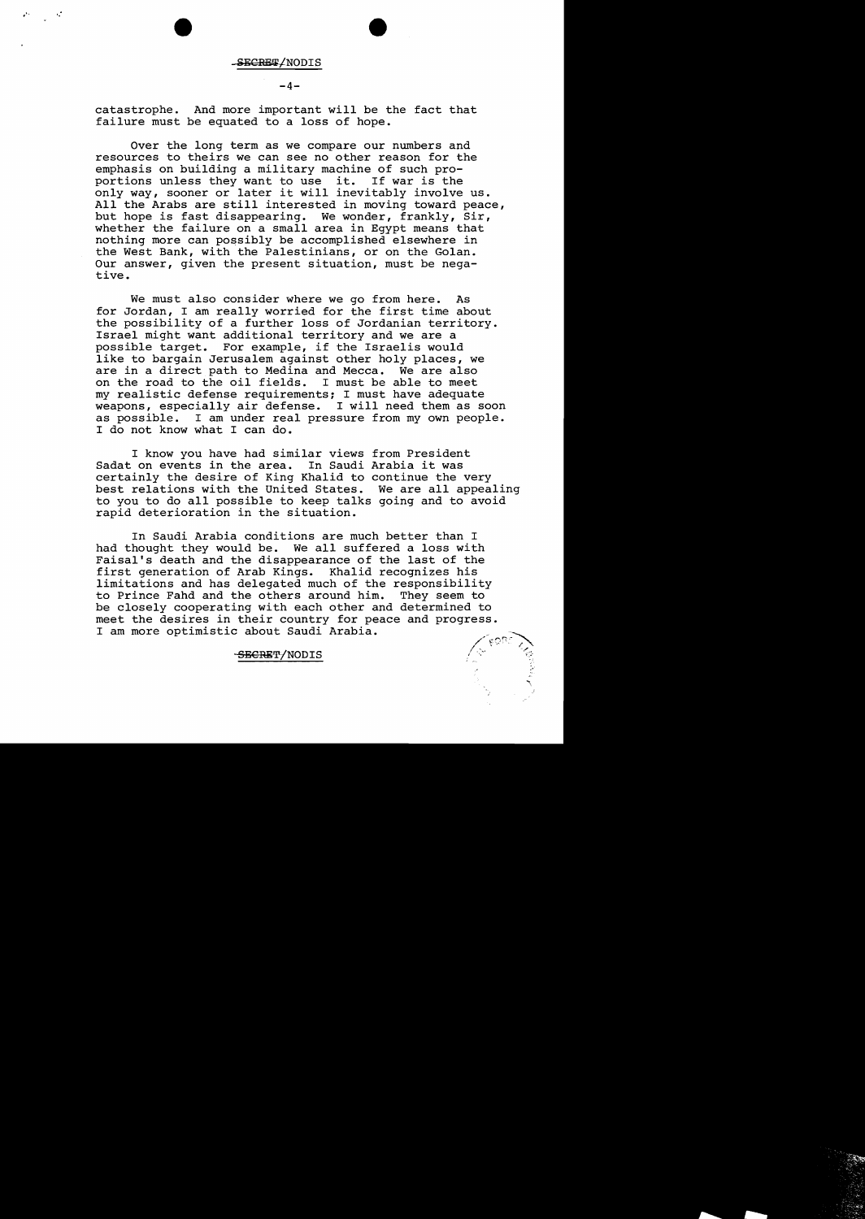SECRET/NODIS

#### $-4-$

catastrophe. And more important will be the fact that failure must be equated to a loss of hope.

Over the long term as we compare our numbers and resources to theirs we can see no other reason for the emphasis on building a military machine of such proportions unless they want to use it. If war is the only way, sooner or later it will inevitably involve us. All the Arabs are still interested in moving toward peace, but hope is fast disappearing. We wonder, frankly, Sir, whether the failure on a small area in Egypt means that nothing more can possibly be accomplished elsewhere in the West Bank, with the Palestinians, or on the Golan. Our answer, given the present situation, must be negative.

We must also consider where we go from here. As for Jordan, I am really worried for the first time about the possibility of a further loss of Jordanian territory. Israel might want additional territory and we are a possible target. For example, if the Israelis would like to bargain Jerusalem against other holy places, we are in a direct path to Medina and Mecca. We are also on the road to the oil fields. I must be able to meet my realistic defense requirements; I must have adequate weapons, especially air defense. I will need them as soon as possible. I am under real pressure from my own people. I do not know what I can do.

I know you have had similar views from President Sadat on events in the area. In Saudi Arabia it was certainly the desire of King Khalid to continue the very best relations with the United States. We are all appealing to you to do all possible to keep talks going and to avoid rapid deterioration in the situation.

In Saudi Arabia conditions are much better than I had thought they would be. We all suffered a loss with Faisal's death and the disappearance of the last of the first generation of Arab Kings. Khalid recognizes his limitations and has delegated much of the responsibility<br>to Prince Fahd and the others around him. They seem to to Prince Fahd and the others around him. be closely cooperating with each other and determined to meet the desires in their country for peace and progress. I am more optimistic about Saudi Arabia.

.,.

## SBCRET/NODIS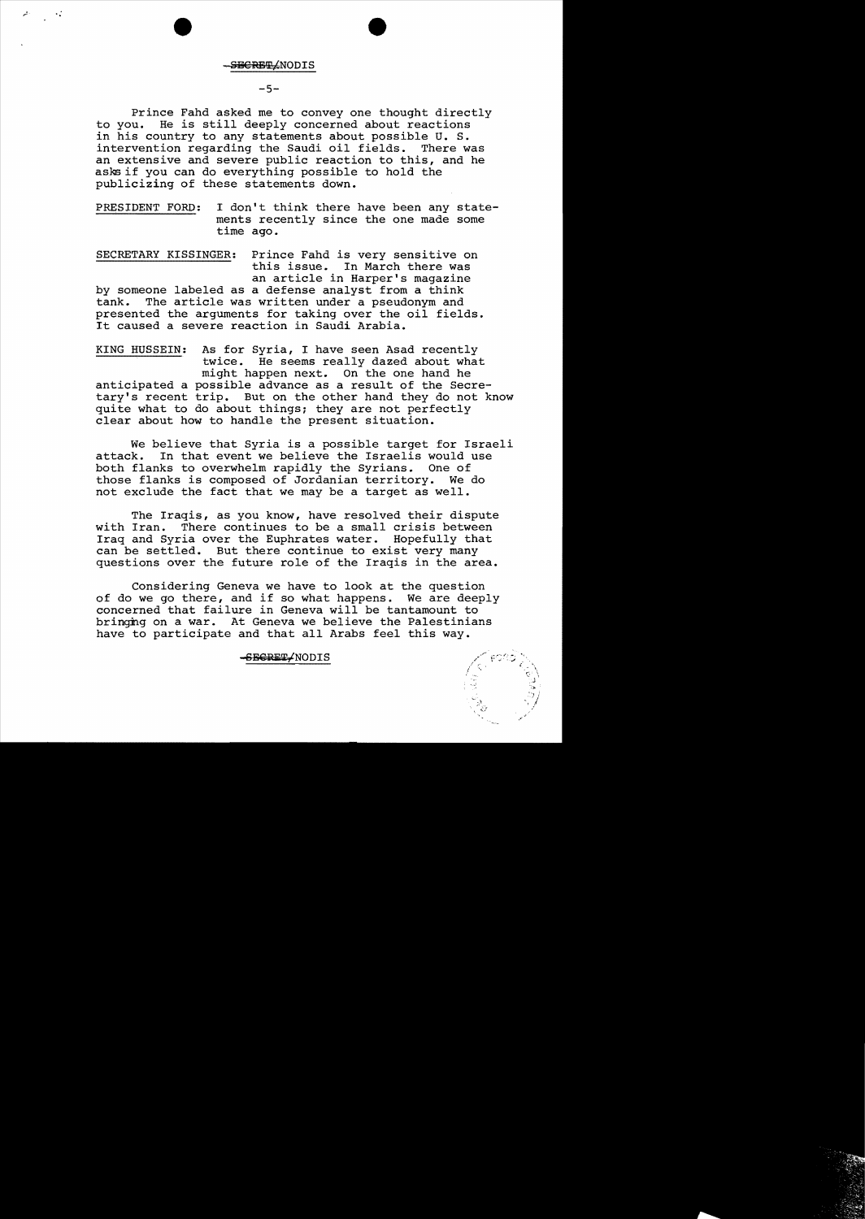**SBCRET (NODIS** 

## $-5-$

Prince Fahd asked me to convey one thought directly<br>to you. He is still deeply concerned about reactions He is still deeply concerned about reactions in his country to any statements about possible U. S. intervention regarding the Saudi oil fields. There was an extensive and severe public reaction to this, and he asks if you can do everything possible to hold the publicizing of these statements down.

PRESIDENT FORD: I don't think there have been any statements recently since the one made some time ago.

SECRETARY KISSINGER: Prince Fahd is very sensitive on this issue. In March there was an article in Harper's magazine by someone labeled as a defense analyst from a think<br>tank. The article was written under a pseudonym and The article was written under a pseudonym and presented the arguments for taking over the oil fields. It caused a severe reaction in Saudi Arabia.

KING HUSSEIN: As for Syria, I have seen Asad recently twice. He seems really dazed about what might happen next. On the one hand he anticipated a possible advance as a result of the Secretary's recent trip. But on the other hand they do not know quite what to do about things; they are not perfectly clear about how to handle the present situation.

We believe that Syria is a possible target for Israeli<br>attack. In that event we believe the Israelis would use In that event we believe the Israelis would use both flanks to overwhelm rapidly the Syrians. One of those flanks is composed of Jordanian territory. We do not exclude the fact that we may be a target as well.

The Iraqis, as you know, have resolved their dispute with Iran. There continues to be a small crisis between Iraq and Syria over the Euphrates water. Hopefully that can be settled. But there continue to exist very many questions over the future role of the Iraqis in the area.

Considering Geneva we have to look at the question of do we go there, and if so what happens. We are deeply concerned that failure in Geneva will be tantamount to bringhg on a war. At Geneva we believe the Palestinians have to participate and that all Arabs feel this way.

## SECRET/NODIS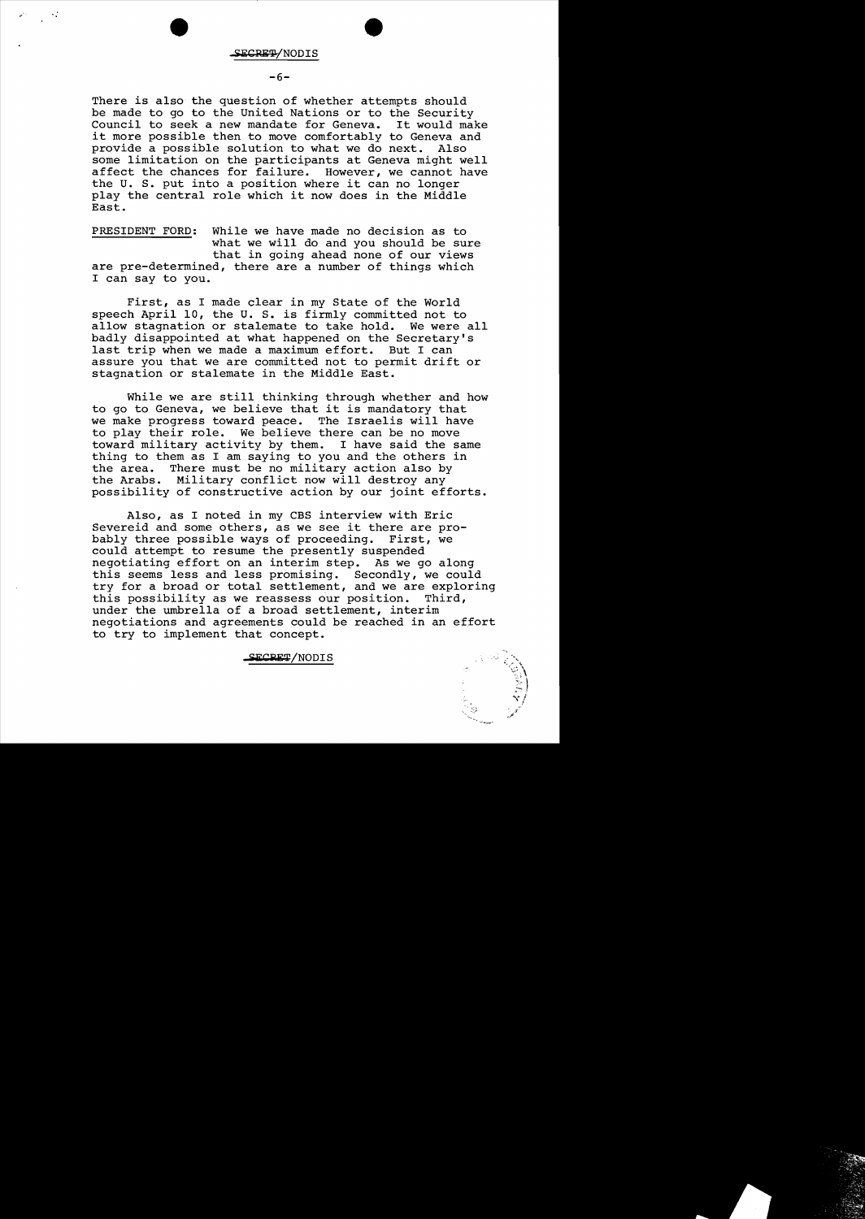~.

## $-6-$

There is also the question of whether attempts should be made to go to the United Nations or to the Security<br>Council to seek a new mandate for Geneva. It would make Council to seek a new mandate for Geneva. it more possible then to move comfortably to Geneva and<br>provide a possible solution to what we do next. Also provide a possible solution to what we do next. some limitation on the participants at Geneva might well affect the chances for failure. However, we cannot have the U. S. put into a position where it can no longer play the central role which it now does in the Middle East.

PRESIDENT FORD: While we have made no decision as to what we will do and you should be sure that in going ahead none of our views are pre-determined, there are a number of things which I can say to you.

First, as I made clear in my State of the World speech April 10, the U. S. is firmly committed not to allow stagnation or stalemate to take hold. We were all badly disappointed at what happened on the Secretary's last trip when we made a maximum effort. But I can assure you that we are committed not to permit drift or stagnation or stalemate in the Middle East.

While we are still thinking through whether and how to go to Geneva, we believe that it is mandatory that we make progress toward peace. The Israelis will have to play their role. We believe there can be no move<br>toward military activity by them. I have said the same toward military activity by them. thing to them as I am saying to you and the others in<br>the area. There must be no military action also by There must be no military action also by the Arabs. Military conflict now will destroy any possibility of constructive action by our joint efforts.

Also,as I noted in my CBS interview with Eric Severeid and some others, as we see it there are probably three possible ways of proceeding. First, we could attempt to resume the presently suspended negotiating effort on an interim step. As we go along this seems less and less promising. Secondly, we could try for a broad or total settlement, and we are exploring<br>this possibility as we reassess our position. Third, this possibility as we reassess our position. under the umbrella of a broad settlement, interim negotiations and agreements could be reached in an effort to try to implement that concept.

SECRET/NODIS

 $\sim$  $\frac{5}{5}$  ]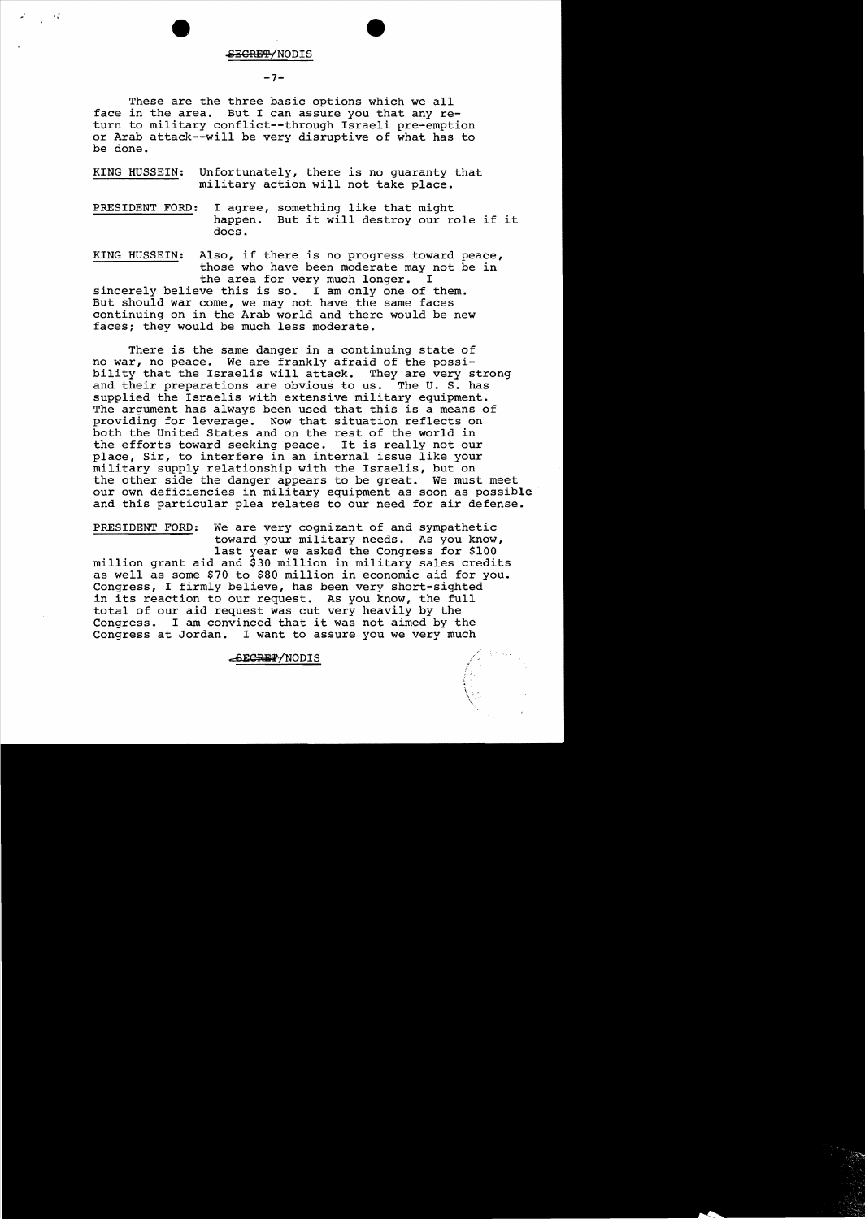#### <del>ECRET/</del>NODIS

"

 $-7-$ 

These are the three basic options which we all face in the area. But I can assure you that any return to military conflict--through Israeli pre-emption or Arab attack--wi11 be very disruptive of what has to be done.

KING HUSSEIN: Unfortunately, there is no guaranty that military action will not take place.

PRESIDENT FORD: I agree, something like that might happen. But it will destroy our role if it does.

KING HUSSEIN: Also, if there is no progress toward peace, those who have been moderate may not be in the area for very much longer. I sincerely believe this is so. I am only one of them. But should war come, we may not have the same faces continuing on in the Arab world and there would be new faces; they would be much less moderate.

There is the same danger in a continuing state of no war, no peace. We are frankly afraid of the possibility that the Israelis will attack. They are very strong and their preparations are obvious to us. The U. S. has supplied the Israelis with extensive military equipment. The argument has always been used that this is a means of providing for leverage. Now that situation reflects on both the United States and on the rest of the world in the efforts toward seeking peace. It is really not our place, Sir, to interfere in an internal issue like your military supply relationship with the Israelis, but on the other side the danger appears to be great. We must meet our own deficiencies in military equipment as soon as possible and this particular plea relates to our need for air defense.

PRESIDENT FORD: We are very cognizant of and sympathetic toward your military needs. As you know, last year we asked the Congress for \$100 million grant aid and \$30 million in military sales credits as well as some \$70 to \$80 million in economic aid for you. Congress, I firmly believe, has been very short-sighted in its reaction to our request. As you know, the full total of our aid request was cut very heavily by the Congress. I am convinced that it was not aimed by t I am convinced that it was not aimed by the Congress at Jordan. I want to assure you we very much

**CBECRET/NODIS**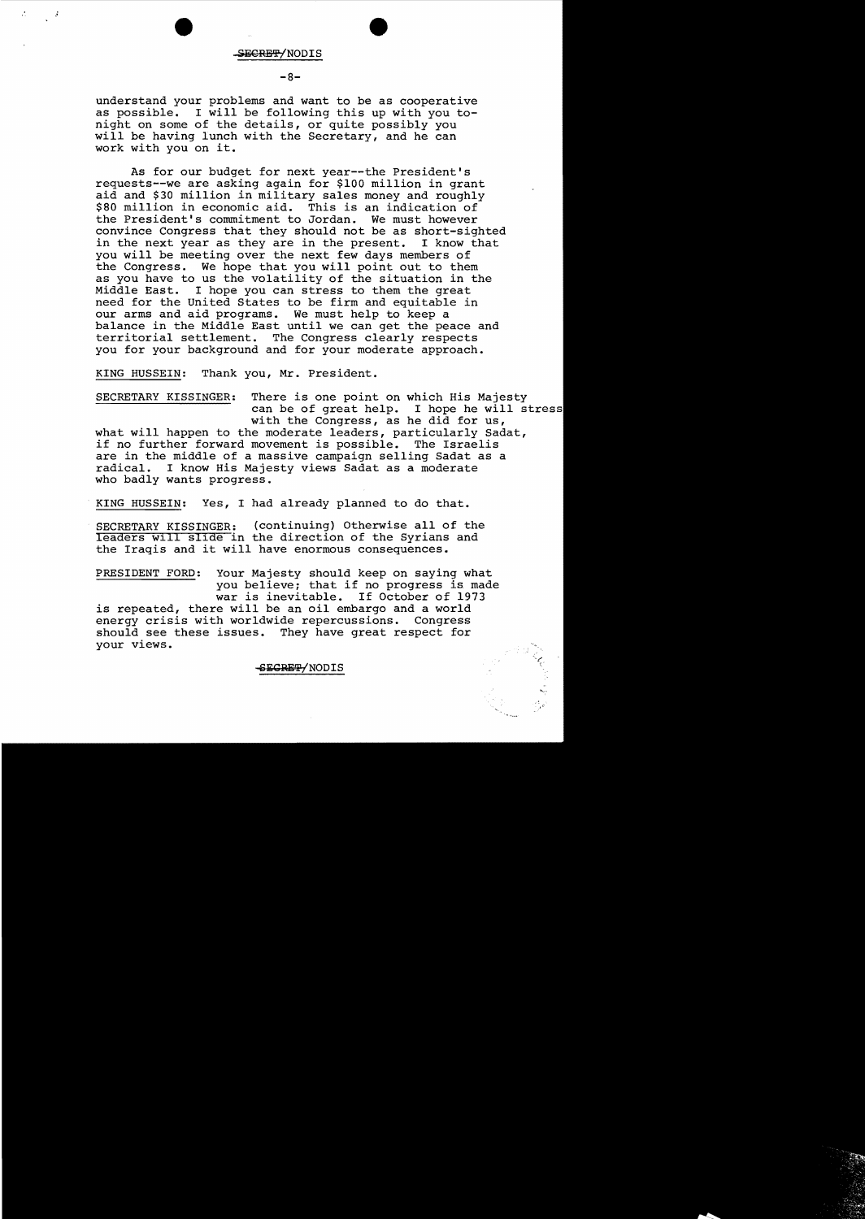#### SECRET/NODIS

#### **-8**

understand your problems and want to be as cooperative as possible. I will be following this up with you tonight on some of the details, or quite possibly you will be having lunch with the Secretary, and he can work with you on it.

As for our budget for next year--the President's requests--we are asking again for \$100 million in grant aid and \$30 million in military sales money and roughly \$80 million in economic aid. This is an indication of the President's commitment to Jordan. We must however the President's commitment to Jordan. convince Congress that they should not be as short-sighted<br>in the next year as they are in the present. I know that in the next year as they are in the present. you will be meeting over the next few days members of the Congress. We hope that you will point out to them as you have to us the volatility of the situation in the Middle East. I hope you can stress to them the great need for the United States to be firm and equitable in our arms and aid programs. We must help to keep a balance in the Middle East until we can get the peace and territorial settlement. The Congress clearly respects you for your background and for your moderate approach.

KING HUSSEIN: Thank you, Mr. President.

SECRETARY KISSINGER: There is one point on which His Majesty can be of great help. I hope he will stres with the Congress, as he did for us, what will happen to the moderate leaders, particularly Sadat, if no further forward movement is possible. The Israelis are in the middle of a massive campaign selling Sadat as a radical. I know His Majesty views Sadat as a moderate who badly wants progress.

KING HUSSEIN: Yes, I had already planned to do that.

SECRETARY KISSINGER: (continuing) Otherwise all of the leaders wlll sllde in the direction of the Syrians and the Iraqis and it will have enormous consequences.

PRESIDENT FORD: Your Majesty should keep on saying what you believe; that if no progress is made war is inevitable. If October of 1973 is repeated, there will be an oil embargo and a world<br>energy crisis with worldwide repercussions. Congress energy crisis with worldwide repercussions. should see these issues. They have great respect for your views.

SECRETY NODIS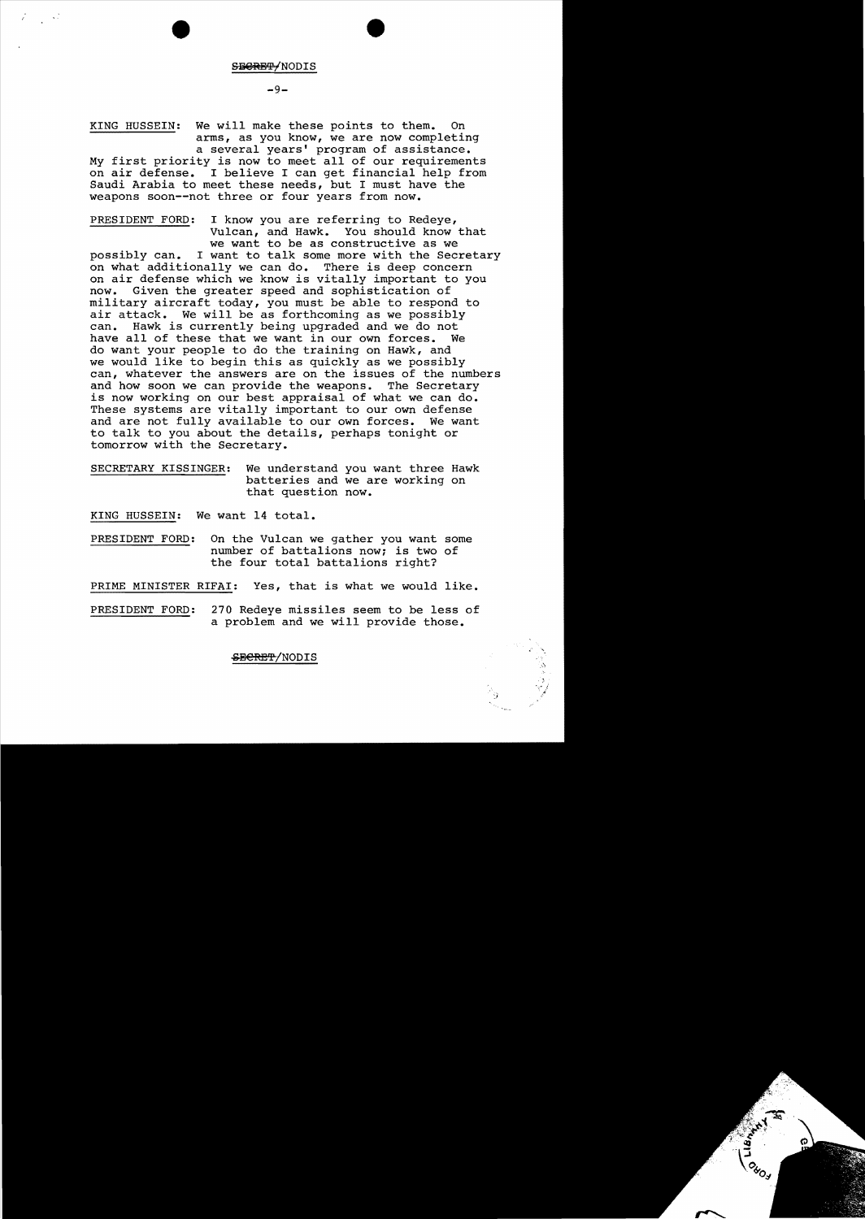SBORET/NODIS

 $-9-$ 

KING HUSSEIN: We will make these points to them. On arms, as you know, we are now completing a several years' program of assistance. My first priority is now to meet all of our requirements on air defense. I believe I can get financial help from Saudi Arabia to meet these needs, but I must have the weapons soon--not three or four years from now.

PRESIDENT FORD: I know you are referring to Redeye, Vulcan, and Hawk. You should know that we want to be as constructive as we

possibly can. I want to talk some more with the Secretary on what additionally we can do. There is deep concern on air defense which we know is vitally important to you now. Given the greater speed and sophistication of military aircraft today, you must be able to respond to air attack. We will be as forthcoming as we possibly can. Hawk is currently being upgraded and we do not have all of these that we want in our own forces. do want your people to do the training on Hawk, and we would like to begin this as quickly as we possibly can, whatever the answers are on the issues of the numbers and how soon we can provide the weapons. The Secretary is now working on our best appraisal of what we can do. These systems are vitally important to our own defense and are not fully available to our own forces. We want to talk to you about the details, perhaps tonight or tomorrow with the Secretary.

SECRETARY KISSINGER: We understand you want three Hawk batteries and we are working on that question now.

KING HUSSEIN: We want 14 total.

PRESIDENT FORD: On the Vulcan we gather you want some number of battalions now; is two of the four total battalions right?

PRIME MINISTER RIFAI: Yes, that is what we would like.

PRESIDENT FORD: 270 Redeye missiles seem to be less of a problem and we will provide those.

SBERET/NODIS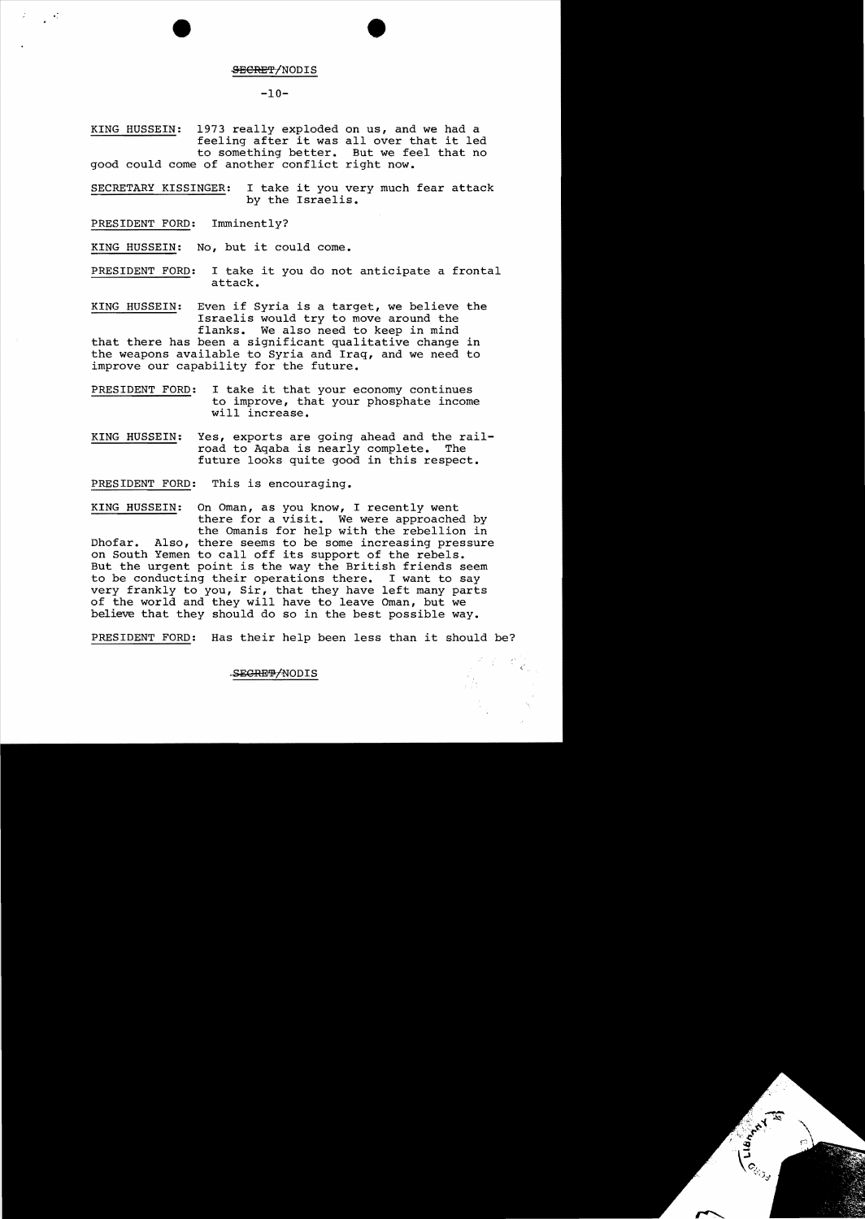#### **SECRET/NODIS**

•

## $-10-$

KING HUSSEIN: 1973 really exploded on us, and we had a feeling after it was allover that it led to something better. But we feel that no good could come of another conflict right now.

SECRETARY KISSINGER: I take it you very much fear attack by the Israelis.

PRESIDENT FORD: Imminently?

- 97

KING HUSSEIN: No, but it could come.

PRESIDENT FORD: I take it you do not anticipate a frontal attack.

KING HUSSEIN: Even if Syria is a target, we believe the Israelis would try to move around the flanks. We also need to keep in mind that there has been a significant qualitative change in the weapons available to Syria and Iraq, and we need to improve our capability for the future.

- PRESIDENT FORD: I take it that your economy continues to improve, that your phosphate income will increase.
- KING HUSSEIN: Yes, exports are going ahead and the rail-<br>road to Agaba is nearly complete. The road to Aqaba is nearly complete. future looks quite good in this respect.

PRESIDENT FORD: This is encouraging.

KING HUSSEIN: On Oman, as you know, I recently went there for a visit. We were approached by the Omanis for help with the rebellion in Dhofar. Also, there seems to be some increasing pressure on South Yemen to call off its support of the rebels. But the urgent point is the way the British friends seem to be conducting their operations there. I want to say very frankly to you, Sir, that they have left many parts of the world and they will have to leave Oman, but we believe that they should do so in the best possible way.

PRESIDENT FORD: Has their help been less than it should be?

#### SECREP/NODIS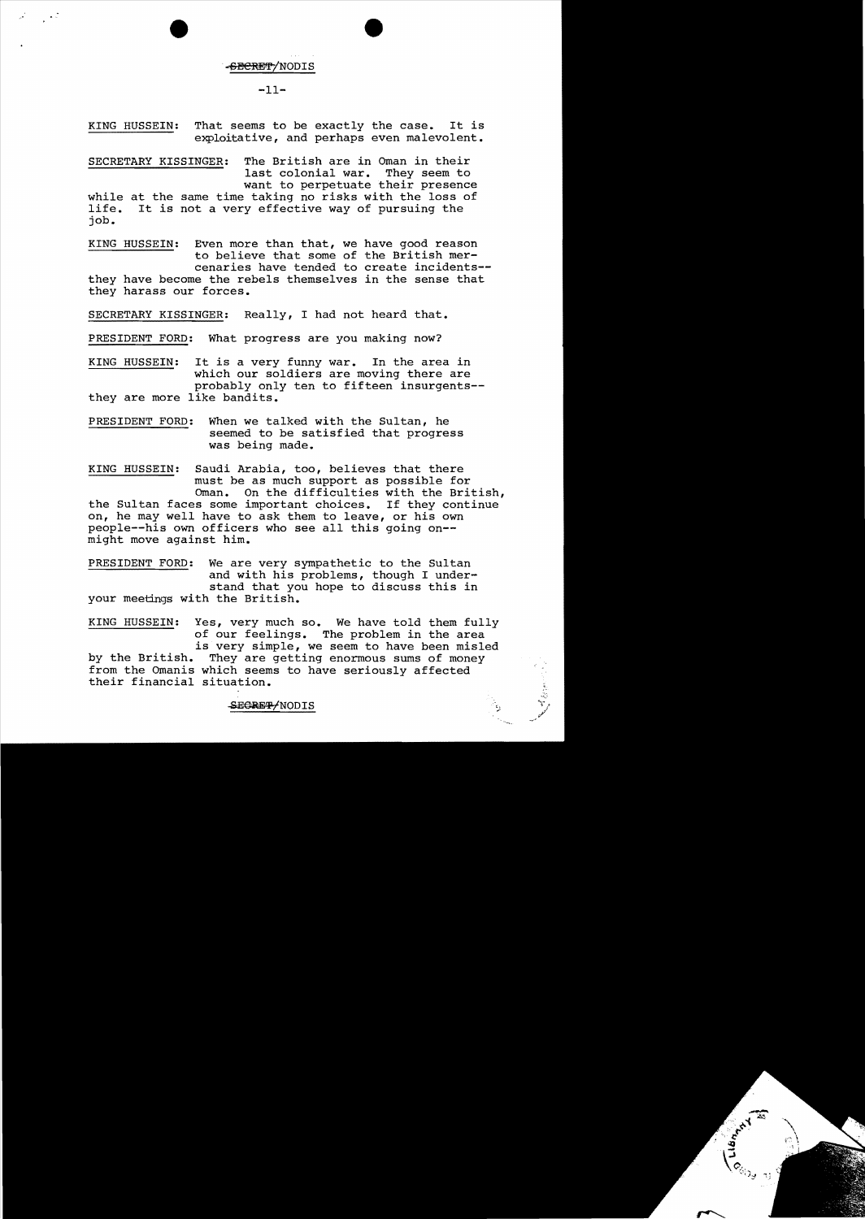-<del>SECRET</del>/NODIS

#### $-11-$

KING HUSSEIN: That seems to be exactly the case. It is exploitative, and perhaps even malevolent.

SECRETARY KISSINGER: The British are in Oman in their<br>last colonial war. They seem to last colonial war. want to perpetuate their presence while at the same time taking no risks with the loss of life. It is not a very effective way of pursuing the It is not a very effective way of pursuing the job.

KING HUSSEIN: Even more than that, we have good reason to believe that some of the British mercenaries have tended to create incidents they have become the rebels themselves in the sense that they harass our forces.

SECRETARY KISSINGER: Really, I had not heard that.

PRESIDENT FORD: What progress are you making now?

KING HUSSEIN: It is a very funny war. In the area in which our soldiers are moving there are probably only ten to fifteen insurgents they are more like bandits.

PRESIDENT FORD: When we talked with the Sultan, he seemed to be satisfied that progress was being made.

KING HUSSEIN: Saudi Arabia, too, believes that there must be as much support as possible for Oman. On the difficulties with the British, the Sultan faces some important choices. If they continue on, he may well have to ask them to leave, or his own people--his own officers who see all this going on-

might move against him.

,,'

PRESIDENT FORD: We are very sympathetic to the Sultan and with his problems, though I understand that you hope to discuss this in your meetings with the British.

KING HUSSEIN: Yes, very much so. We have told them fully of our feelings. The problem in the area is very simple, we seem to have been misled<br>by the British. They are getting enormous sums of money They are getting enormous sums of money from the Omanis which seems to have seriously affected their financial situation.

#### SEGRET/NODIS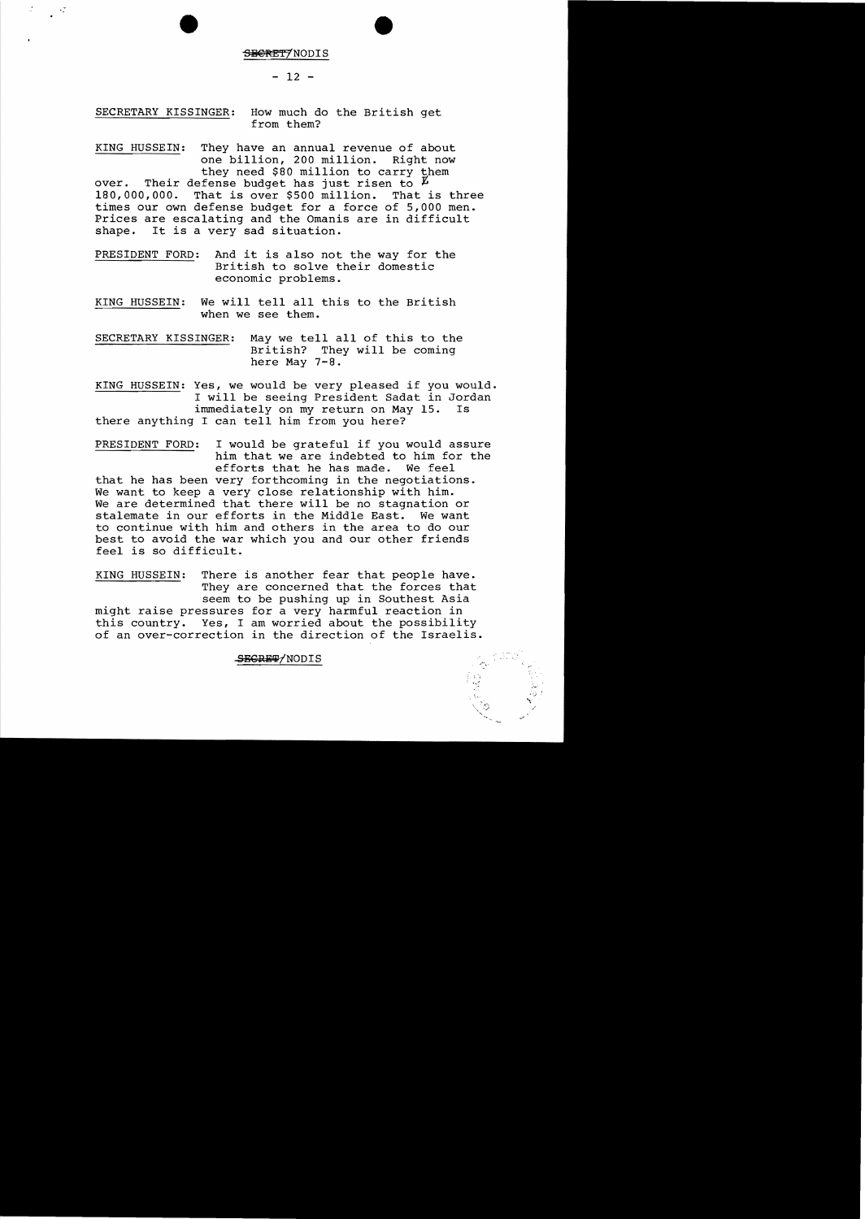#### S<del>ECRET</del>7NODIS

## $- 12 -$

SECRETARY KISSINGER: How much do the British get from them?

KING HUSSEIN: They have an annual revenue of about one billion, 200 million. Right now they need \$80 million to carry them over. Their defense budget has just risen to  $\overline{L}$ <br>180,000,000. That is over \$500 million. That is three That is over \$500 million. times our own defense budget for a force of 5,000 men. Prices are escalating and the Omanis are in difficult shape. It is a very sad situation. It is a very sad situation.

PRESIDENT FORD: And it is also not the way for the British to solve their domestic economic problems.

KING HUSSEIN: We will tell all this to the British when we see them.

SECRETARY KISSINGER: May we tell all of this to the British? They will be coming here May 7-8.

KING HUSSEIN: Yes, we would be very pleased if you would. I will be seeing President Sadat in Jordan immediately on my return on May 15. Is immediately on my return on May 15. there anything I can tell him from you here?

PRESIDENT FORD: I would be grateful if you would assure him that we are indebted to him for the efforts that he has made. We feel that he has been very forthcoming in the negotiations. We want to keep a very close relationship with him. We are determined that there will be no stagnation or stalemate in our efforts in the Middle East. We want to continue with him and others in the area to do our best to avoid the war which you and our other friends feel is so difficult.

KING HUSSEIN: There is another fear that people have. They are concerned that the forces that seem to be pushing up in Southest Asia might raise pressures for a very harmful reaction in Yes, I am worried about the possibility of an over-correction in the direction of the Israelis.

## SEGRET/NODIS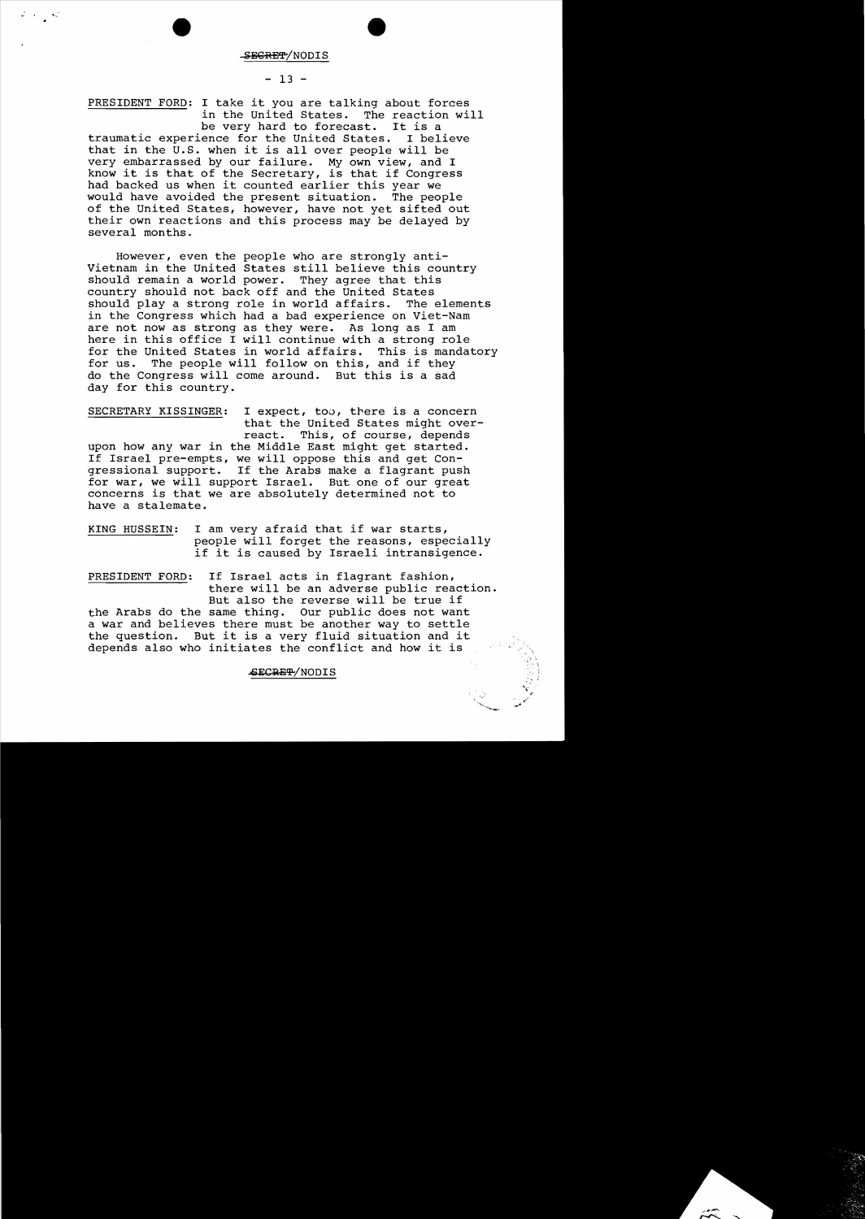#### **ECRET/NODIS**

## $- 13 -$

PRESIDENT FORD: I take it you are talking about forces in the United States. The reaction will<br>be very hard to forecast. It is a

be very hard to forecast. It is a<br>ence for the United States. I believe traumatic experience for the United States. that in the U.S. when it is allover people will be very embarrassed by our failure. My own view, and I know it is that of the Secretary, is that if Congress had backed us when it counted earlier this year we would have avoided the present situation. The people of the United States, however, have not yet sifted out their own reactions and this process may be delayed by several months.

However, even the people who are strongly anti-Vietnam in the United States still believe this country should remain a world power. They agree that this should remain a world power. country should not back off and the United States should play a strong role in world affairs. in the Congress which had a bad experience on Viet-Nam are not now as strong as they were. As long as I am here in this office I will continue with a strong role for the United States in world affairs. This is mandatory for us. The people will follow on this, and if they do the Congress will come around. But this is a sad day for this country.

SECRETARY KISSINGER: I expect, too, there is a concern that the United States might over-<br>react. This, of course, depends This, of course, depends upon how any war in the Middle East might get started. If Israel pre-empts, we will oppose this and get Congressional support. If the Arabs make a flagrant push for war, we will support Israel. But one of our great concerns is that we are absolutely determined not to have a stalemate.

KING HUSSEIN: I am very afraid that if war starts, people will forget the reasons, especially if it is caused by Israeli intransigence.

PRESIDENT FORD: If Israel acts in flagrant fashion, there will be an adverse public reaction. But also the reverse will be true if the Arabs do the same thing. Our public does not want a war and believes there must be another way to settle the question. But it is a very fluid situation and it depends also who initiates the conflict and how it is

## SECRET/NODIS

 $"$